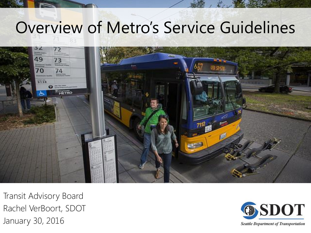### Overview of Metro's Service Guidelines



Transit Advisory Board Rachel VerBoort, SDOT January 30, 2016



**Seattle Department of Transportation**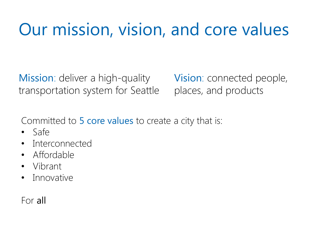### Our mission, vision, and core values

Mission: deliver a high-quality transportation system for Seattle Vision: connected people, places, and products

Committed to 5 core values to create a city that is:

- Safe
- Interconnected
- Affordable
- Vibrant
- **Innovative**

#### For all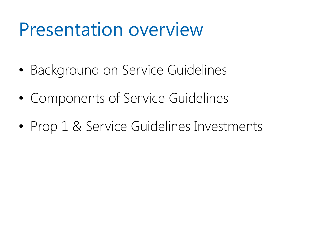### Presentation overview

- Background on Service Guidelines
- Components of Service Guidelines
- Prop 1 & Service Guidelines Investments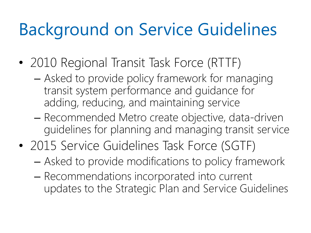### Background on Service Guidelines

- 2010 Regional Transit Task Force (RTTF)
	- Asked to provide policy framework for managing transit system performance and guidance for adding, reducing, and maintaining service
	- Recommended Metro create objective, data-driven guidelines for planning and managing transit service
- 2015 Service Guidelines Task Force (SGTF)
	- Asked to provide modifications to policy framework
	- Recommendations incorporated into current updates to the Strategic Plan and Service Guidelines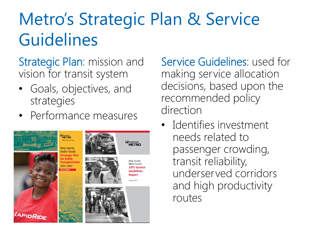## Metro's Strategic Plan & Service Guidelines

Strategic Plan: mission and vision for transit system

- Goals, objectives, and strategies
- Performance measures



Service Guidelines: used for making service allocation decisions, based upon the recommended policy direction

• Identifies investment needs related to passenger crowding, transit reliability, underserved corridors and high productivity routes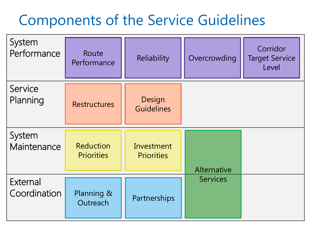#### Components of the Service Guidelines

| System<br>Performance    | Route<br>Performance                  | Reliability                     | Overcrowding    | Corridor<br><b>Target Service</b><br>Level |
|--------------------------|---------------------------------------|---------------------------------|-----------------|--------------------------------------------|
| Service<br>Planning      | <b>Restructures</b>                   | Design<br><b>Guidelines</b>     |                 |                                            |
| System<br>Maintenance    | <b>Reduction</b><br><b>Priorities</b> | Investment<br><b>Priorities</b> | Alternative     |                                            |
| External<br>Coordination | Planning &<br>Outreach                | Partnerships                    | <b>Services</b> |                                            |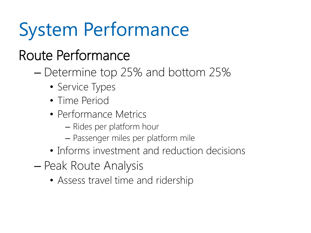# System Performance

### Route Performance

- Determine top 25% and bottom 25%
	- Service Types
	- Time Period
	- Performance Metrics
		- Rides per platform hour
		- Passenger miles per platform mile
	- Informs investment and reduction decisions
- Peak Route Analysis
	- Assess travel time and ridership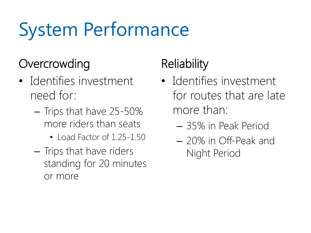# System Performance

#### **Overcrowding**

- Identifies investment need for:
	- Trips that have 25-50% more riders than seats
		- Load Factor of 1.25-1.50
	- Trips that have riders standing for 20 minutes or more

### **Reliability**

- Identifies investment for routes that are late more than:
	- 35% in Peak Period
	- 20% in Off-Peak and Night Period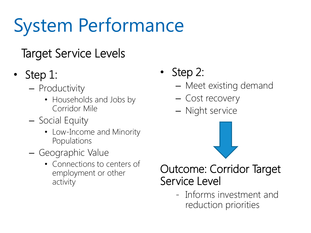# System Performance

#### Target Service Levels

- Step 1:
	- Productivity
		- Households and Jobs by Corridor Mile
	- Social Equity
		- Low-Income and Minority Populations
	- Geographic Value
		- Connections to centers of employment or other activity
- Step 2:
	- Meet existing demand
	- Cost recovery
	- Night service



#### Outcome: Corridor Target Service Level

- Informs investment and reduction priorities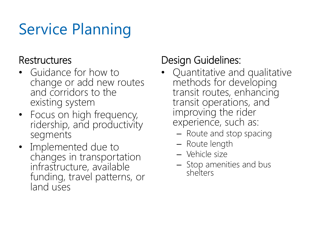### Service Planning

#### **Restructures**

- Guidance for how to change or add new routes and corridors to the existing system
- Focus on high frequency, ridership, and productivity segments
- Implemented due to changes in transportation infrastructure, available funding, travel patterns, or land uses

#### Design Guidelines:

- Quantitative and qualitative methods for developing transit routes, enhancing transit operations, and improving the rider experience, such as:
	- Route and stop spacing
	- Route length
	- Vehicle size
	- Stop amenities and bus shelters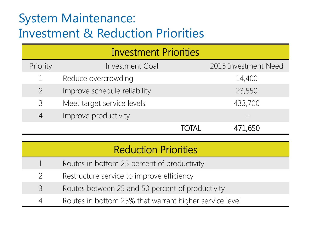#### System Maintenance: Investment & Reduction Priorities

| <b>Investment Priorities</b> |                              |       |                      |  |  |  |
|------------------------------|------------------------------|-------|----------------------|--|--|--|
| Priority                     | <b>Investment Goal</b>       |       | 2015 Investment Need |  |  |  |
|                              | Reduce overcrowding          |       | 14,400               |  |  |  |
|                              | Improve schedule reliability |       | 23,550               |  |  |  |
| $\mathcal{E}$                | Meet target service levels   |       | 433,700              |  |  |  |
|                              | Improve productivity         |       |                      |  |  |  |
|                              |                              | TOTAL | 471,650              |  |  |  |

#### Reduction Priorities

- 1 Routes in bottom 25 percent of productivity
	- 2 Restructure service to improve efficiency
- 3 Routes between 25 and 50 percent of productivity
	- 4 Routes in bottom 25% that warrant higher service level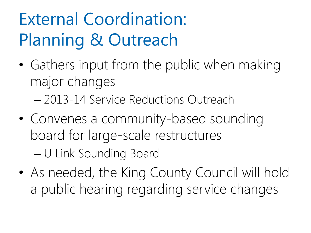## External Coordination: Planning & Outreach

- Gathers input from the public when making major changes
	- 2013-14 Service Reductions Outreach
- Convenes a community-based sounding board for large-scale restructures – U Link Sounding Board
- As needed, the King County Council will hold a public hearing regarding service changes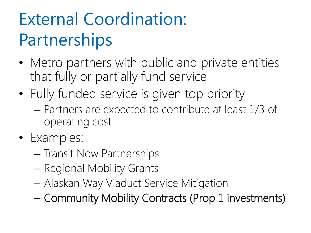## External Coordination: **Partnerships**

- Metro partners with public and private entities that fully or partially fund service
- Fully funded service is given top priority
	- Partners are expected to contribute at least 1/3 of operating cost
- Examples:
	- Transit Now Partnerships
	- Regional Mobility Grants
	- Alaskan Way Viaduct Service Mitigation
	- Community Mobility Contracts (Prop 1 investments)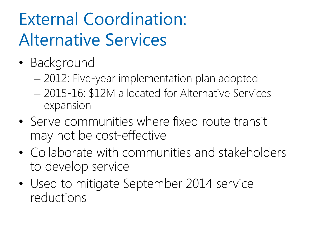## External Coordination: Alternative Services

- Background
	- 2012: Five-year implementation plan adopted
	- 2015-16: \$12M allocated for Alternative Services expansion
- Serve communities where fixed route transit may not be cost-effective
- Collaborate with communities and stakeholders to develop service
- Used to mitigate September 2014 service reductions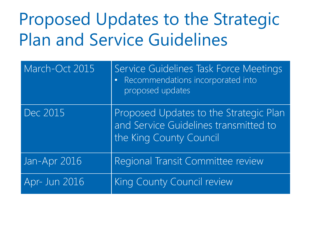### Proposed Updates to the Strategic Plan and Service Guidelines

| March-Oct 2015 | Service Guidelines Task Force Meetings<br>Recommendations incorporated into<br>$\bullet$<br>proposed updates |  |
|----------------|--------------------------------------------------------------------------------------------------------------|--|
| Dec 2015       | Proposed Updates to the Strategic Plan<br>and Service Guidelines transmitted to<br>the King County Council   |  |
| Jan-Apr 2016   | Regional Transit Committee review                                                                            |  |
| Apr- Jun 2016  | King County Council review                                                                                   |  |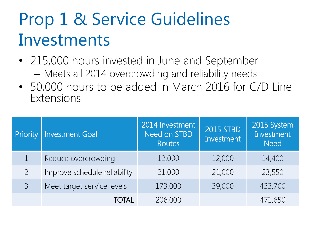### Prop 1 & Service Guidelines Investments

- 215,000 hours invested in June and September – Meets all 2014 overcrowding and reliability needs
- 50,000 hours to be added in March 2016 for C/D Line Extensions

| Priority       | Investment Goal              | 2014 Investment<br>Need on STBD<br><b>Routes</b> | <b>2015 STBD</b><br>Investment | 2015 System<br>Investment<br><b>Need</b> |
|----------------|------------------------------|--------------------------------------------------|--------------------------------|------------------------------------------|
|                | Reduce overcrowding          | 12,000                                           | 12,000                         | 14,400                                   |
|                | Improve schedule reliability | 21,000                                           | 21,000                         | 23,550                                   |
| $\overline{3}$ | Meet target service levels   | 173,000                                          | 39,000                         | 433,700                                  |
|                | TOTAL                        | 206,000                                          |                                | 471,650                                  |